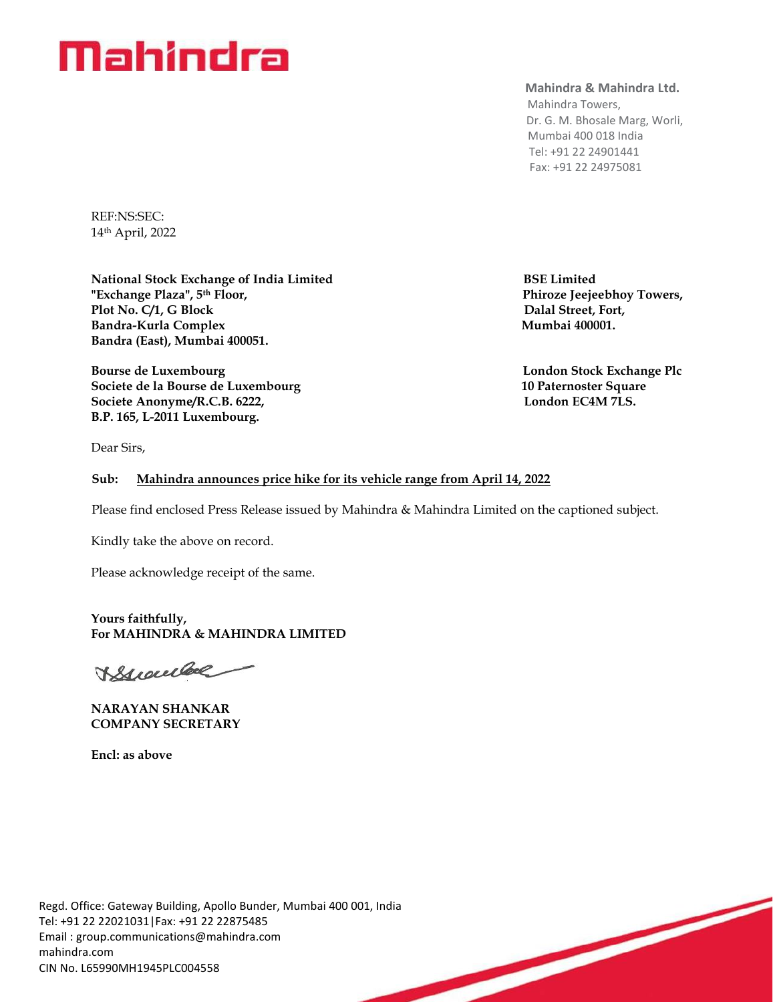# Mahindra

## **Mahindra & Mahindra Ltd.**

 Mahindra Towers, Dr. G. M. Bhosale Marg, Worli, Mumbai 400 018 India Tel: +91 22 24901441 Fax: +91 22 24975081

REF:NS:SEC: 14 th April, 2022

**National Stock Exchange of India Limited BSE Limited "Exchange Plaza", 5th Floor, Phiroze Jeejeebhoy Towers,**  Plot No. C/1, G Block **Dalal Street, Fort,** Bandra-Kurla Complex **Mumbai 400001. Bandra (East), Mumbai 400051.**

**Bourse de Luxembourg London Stock Exchange Plc London Stock Exchange Plc Societe de la Bourse de Luxembourg 10 Paternoster Square** Societe Anonyme/R.C.B. 6222, **London EC4M 7LS. B.P. 165, L-2011 Luxembourg.**

Dear Sirs,

## **Sub: Mahindra announces price hike for its vehicle range from April 14, 2022**

Please find enclosed Press Release issued by Mahindra & Mahindra Limited on the captioned subject.

Kindly take the above on record.

Please acknowledge receipt of the same.

**Yours faithfully, For MAHINDRA & MAHINDRA LIMITED** 

Branche

**NARAYAN SHANKAR COMPANY SECRETARY** 

**Encl: as above**

Regd. Office: Gateway Building, Apollo Bunder, Mumbai 400 001, India Tel: +91 22 22021031|Fax: +91 22 22875485 Email : [group.communications@mahindra.com](mailto:group.communications@mahindra.com) mahindra.com CIN No. L65990MH1945PLC004558